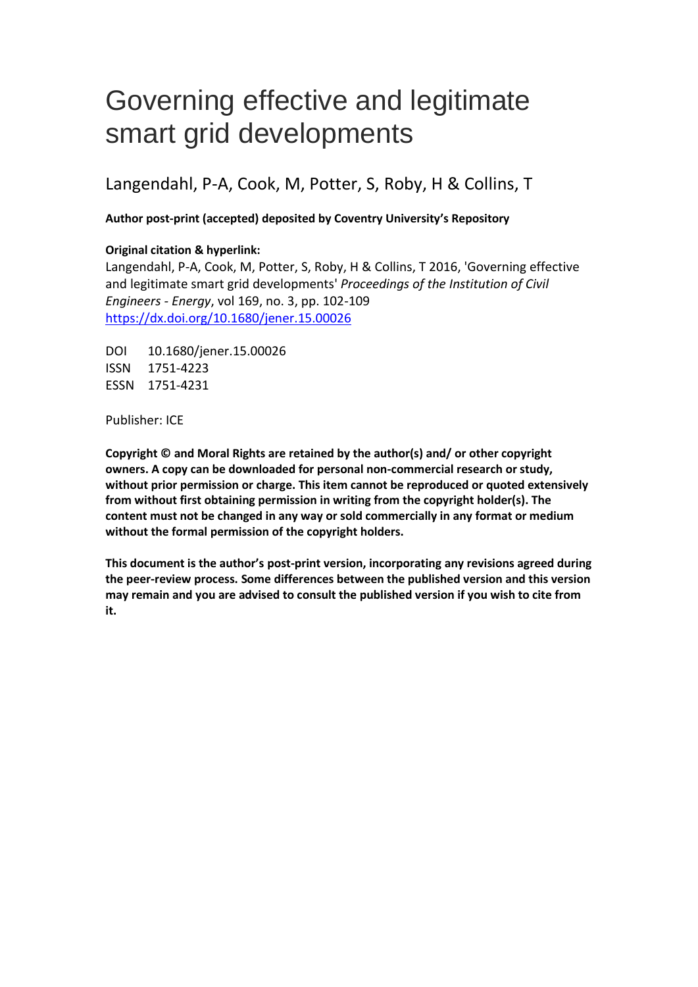# Governing effective and legitimate smart grid developments

# Langendahl, P-A, Cook, M, Potter, S, Roby, H & Collins, T

# **Author post-print (accepted) deposited by Coventry University's Repository**

# **Original citation & hyperlink:**

Langendahl, P-A, Cook, M, Potter, S, Roby, H & Collins, T 2016, 'Governing effective and legitimate smart grid developments' *Proceedings of the Institution of Civil Engineers - Energy*, vol 169, no. 3, pp. 102-109 <https://dx.doi.org/10.1680/jener.15.00026>

DOI 10.1680/jener.15.00026 ISSN 1751-4223 ESSN 1751-4231

Publisher: ICE

**Copyright © and Moral Rights are retained by the author(s) and/ or other copyright owners. A copy can be downloaded for personal non-commercial research or study, without prior permission or charge. This item cannot be reproduced or quoted extensively from without first obtaining permission in writing from the copyright holder(s). The content must not be changed in any way or sold commercially in any format or medium without the formal permission of the copyright holders.** 

**This document is the author's post-print version, incorporating any revisions agreed during the peer-review process. Some differences between the published version and this version may remain and you are advised to consult the published version if you wish to cite from it.**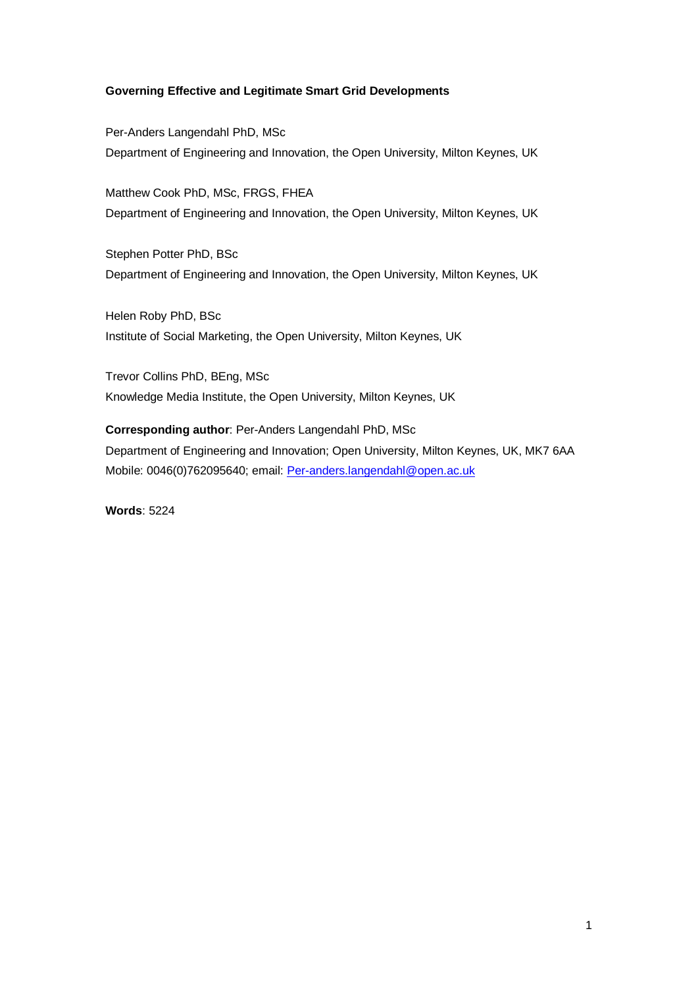# **Governing Effective and Legitimate Smart Grid Developments**

Per-Anders Langendahl PhD, MSc Department of Engineering and Innovation, the Open University, Milton Keynes, UK

Matthew Cook PhD, MSc, FRGS, FHEA Department of Engineering and Innovation, the Open University, Milton Keynes, UK

Stephen Potter PhD, BSc Department of Engineering and Innovation, the Open University, Milton Keynes, UK

Helen Roby PhD, BSc Institute of Social Marketing, the Open University, Milton Keynes, UK

Trevor Collins PhD, BEng, MSc Knowledge Media Institute, the Open University, Milton Keynes, UK

**Corresponding author**: Per-Anders Langendahl PhD, MSc Department of Engineering and Innovation; Open University, Milton Keynes, UK, MK7 6AA Mobile: 0046(0)762095640; email: [Per-anders.langendahl@open.ac.uk](mailto:Per-anders.langendahl@open.ac.uk)

**Words**: 5224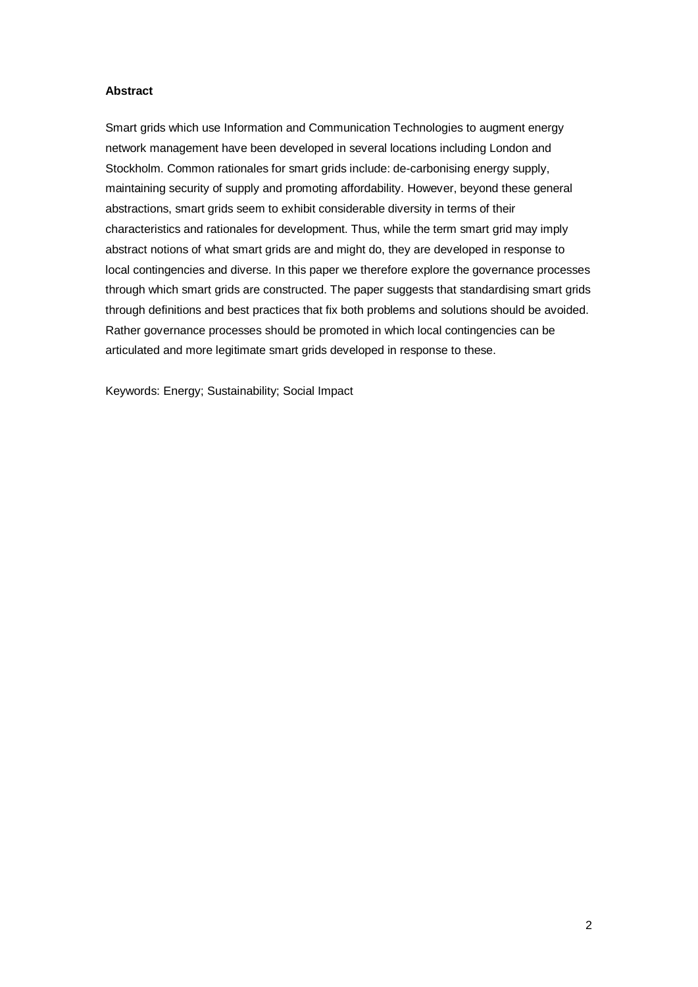# **Abstract**

Smart grids which use Information and Communication Technologies to augment energy network management have been developed in several locations including London and Stockholm. Common rationales for smart grids include: de-carbonising energy supply, maintaining security of supply and promoting affordability. However, beyond these general abstractions, smart grids seem to exhibit considerable diversity in terms of their characteristics and rationales for development. Thus, while the term smart grid may imply abstract notions of what smart grids are and might do, they are developed in response to local contingencies and diverse. In this paper we therefore explore the governance processes through which smart grids are constructed. The paper suggests that standardising smart grids through definitions and best practices that fix both problems and solutions should be avoided. Rather governance processes should be promoted in which local contingencies can be articulated and more legitimate smart grids developed in response to these.

Keywords: Energy; Sustainability; Social Impact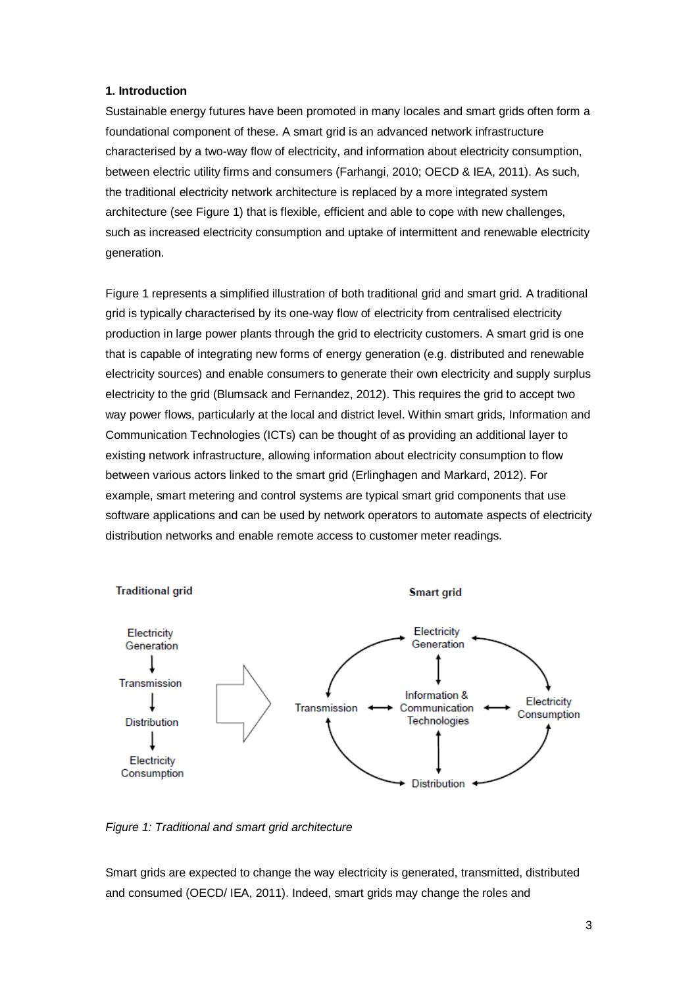# **1. Introduction**

Sustainable energy futures have been promoted in many locales and smart grids often form a foundational component of these. A smart grid is an advanced network infrastructure characterised by a two-way flow of electricity, and information about electricity consumption, between electric utility firms and consumers (Farhangi, 2010; OECD & IEA, 2011). As such, the traditional electricity network architecture is replaced by a more integrated system architecture (see Figure 1) that is flexible, efficient and able to cope with new challenges, such as increased electricity consumption and uptake of intermittent and renewable electricity generation.

Figure 1 represents a simplified illustration of both traditional grid and smart grid. A traditional grid is typically characterised by its one-way flow of electricity from centralised electricity production in large power plants through the grid to electricity customers. A smart grid is one that is capable of integrating new forms of energy generation (e.g. distributed and renewable electricity sources) and enable consumers to generate their own electricity and supply surplus electricity to the grid (Blumsack and Fernandez, 2012). This requires the grid to accept two way power flows, particularly at the local and district level. Within smart grids, Information and Communication Technologies (ICTs) can be thought of as providing an additional layer to existing network infrastructure, allowing information about electricity consumption to flow between various actors linked to the smart grid (Erlinghagen and Markard, 2012). For example, smart metering and control systems are typical smart grid components that use software applications and can be used by network operators to automate aspects of electricity distribution networks and enable remote access to customer meter readings.



*Figure 1: Traditional and smart grid architecture*

Smart grids are expected to change the way electricity is generated, transmitted, distributed and consumed (OECD/ IEA, 2011). Indeed, smart grids may change the roles and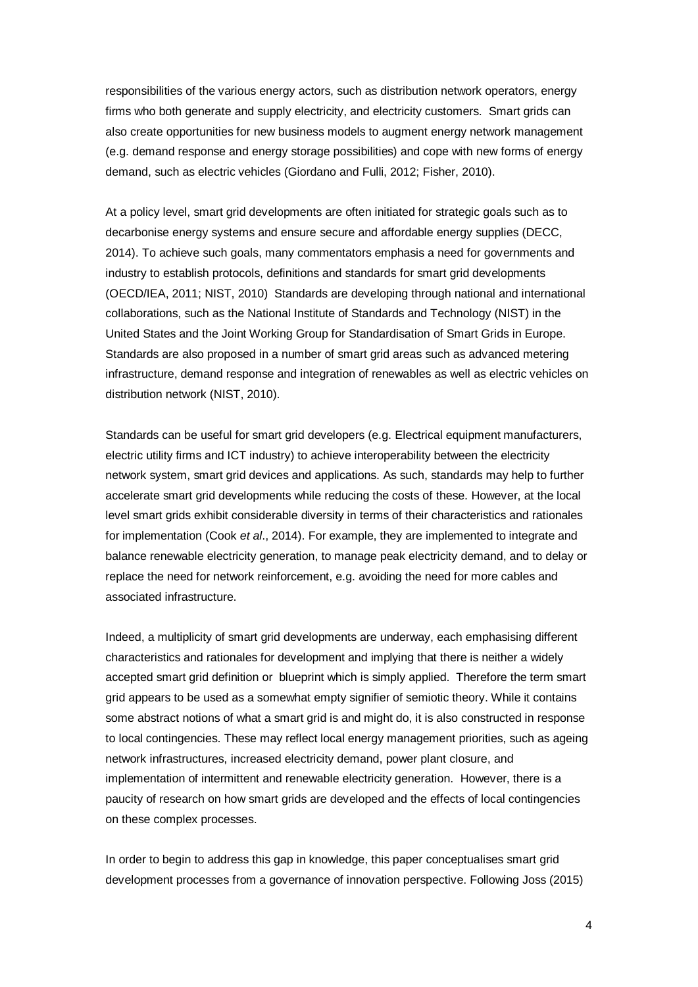responsibilities of the various energy actors, such as distribution network operators, energy firms who both generate and supply electricity, and electricity customers. Smart grids can also create opportunities for new business models to augment energy network management (e.g. demand response and energy storage possibilities) and cope with new forms of energy demand, such as electric vehicles (Giordano and Fulli, 2012; Fisher, 2010).

At a policy level, smart grid developments are often initiated for strategic goals such as to decarbonise energy systems and ensure secure and affordable energy supplies (DECC, 2014). To achieve such goals, many commentators emphasis a need for governments and industry to establish protocols, definitions and standards for smart grid developments (OECD/IEA, 2011; NIST, 2010) Standards are developing through national and international collaborations, such as the National Institute of Standards and Technology (NIST) in the United States and the Joint Working Group for Standardisation of Smart Grids in Europe. Standards are also proposed in a number of smart grid areas such as advanced metering infrastructure, demand response and integration of renewables as well as electric vehicles on distribution network (NIST, 2010).

Standards can be useful for smart grid developers (e.g. Electrical equipment manufacturers, electric utility firms and ICT industry) to achieve interoperability between the electricity network system, smart grid devices and applications. As such, standards may help to further accelerate smart grid developments while reducing the costs of these. However, at the local level smart grids exhibit considerable diversity in terms of their characteristics and rationales for implementation (Cook *et al*., 2014). For example, they are implemented to integrate and balance renewable electricity generation, to manage peak electricity demand, and to delay or replace the need for network reinforcement, e.g. avoiding the need for more cables and associated infrastructure.

Indeed, a multiplicity of smart grid developments are underway, each emphasising different characteristics and rationales for development and implying that there is neither a widely accepted smart grid definition or blueprint which is simply applied. Therefore the term smart grid appears to be used as a somewhat empty signifier of semiotic theory. While it contains some abstract notions of what a smart grid is and might do, it is also constructed in response to local contingencies. These may reflect local energy management priorities, such as ageing network infrastructures, increased electricity demand, power plant closure, and implementation of intermittent and renewable electricity generation. However, there is a paucity of research on how smart grids are developed and the effects of local contingencies on these complex processes.

In order to begin to address this gap in knowledge, this paper conceptualises smart grid development processes from a governance of innovation perspective. Following Joss (2015)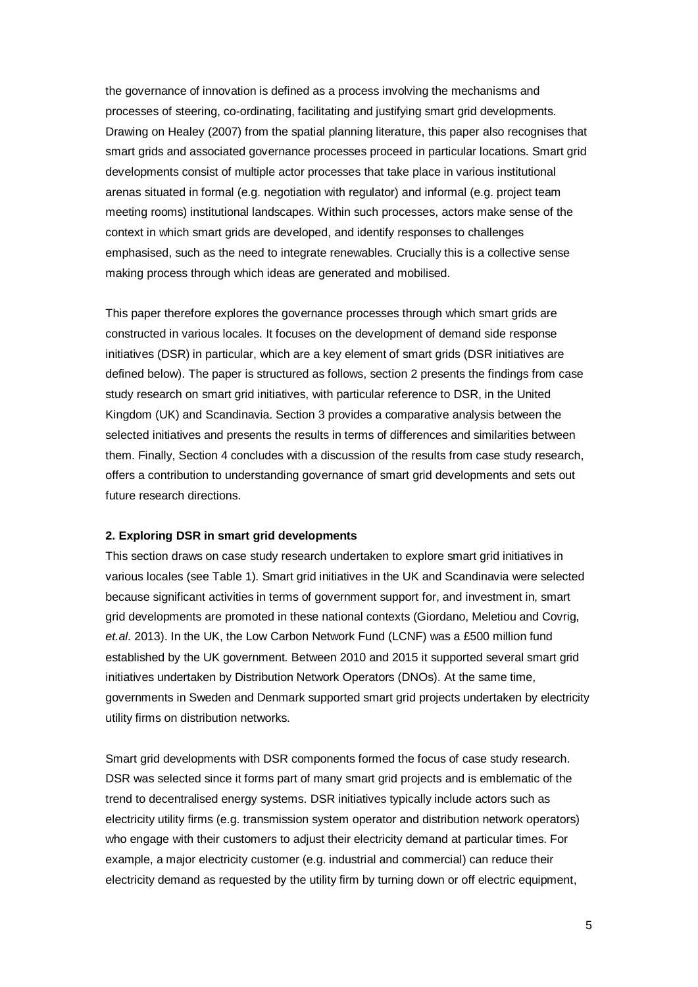the governance of innovation is defined as a process involving the mechanisms and processes of steering, co-ordinating, facilitating and justifying smart grid developments. Drawing on Healey (2007) from the spatial planning literature, this paper also recognises that smart grids and associated governance processes proceed in particular locations. Smart grid developments consist of multiple actor processes that take place in various institutional arenas situated in formal (e.g. negotiation with regulator) and informal (e.g. project team meeting rooms) institutional landscapes. Within such processes, actors make sense of the context in which smart grids are developed, and identify responses to challenges emphasised, such as the need to integrate renewables. Crucially this is a collective sense making process through which ideas are generated and mobilised.

This paper therefore explores the governance processes through which smart grids are constructed in various locales. It focuses on the development of demand side response initiatives (DSR) in particular, which are a key element of smart grids (DSR initiatives are defined below). The paper is structured as follows, section 2 presents the findings from case study research on smart grid initiatives, with particular reference to DSR, in the United Kingdom (UK) and Scandinavia. Section 3 provides a comparative analysis between the selected initiatives and presents the results in terms of differences and similarities between them. Finally, Section 4 concludes with a discussion of the results from case study research, offers a contribution to understanding governance of smart grid developments and sets out future research directions.

#### **2. Exploring DSR in smart grid developments**

This section draws on case study research undertaken to explore smart grid initiatives in various locales (see Table 1). Smart grid initiatives in the UK and Scandinavia were selected because significant activities in terms of government support for, and investment in, smart grid developments are promoted in these national contexts (Giordano, Meletiou and Covrig, *et.al*. 2013). In the UK, the Low Carbon Network Fund (LCNF) was a £500 million fund established by the UK government. Between 2010 and 2015 it supported several smart grid initiatives undertaken by Distribution Network Operators (DNOs). At the same time, governments in Sweden and Denmark supported smart grid projects undertaken by electricity utility firms on distribution networks.

Smart grid developments with DSR components formed the focus of case study research. DSR was selected since it forms part of many smart grid projects and is emblematic of the trend to decentralised energy systems. DSR initiatives typically include actors such as electricity utility firms (e.g. transmission system operator and distribution network operators) who engage with their customers to adjust their electricity demand at particular times. For example, a major electricity customer (e.g. industrial and commercial) can reduce their electricity demand as requested by the utility firm by turning down or off electric equipment,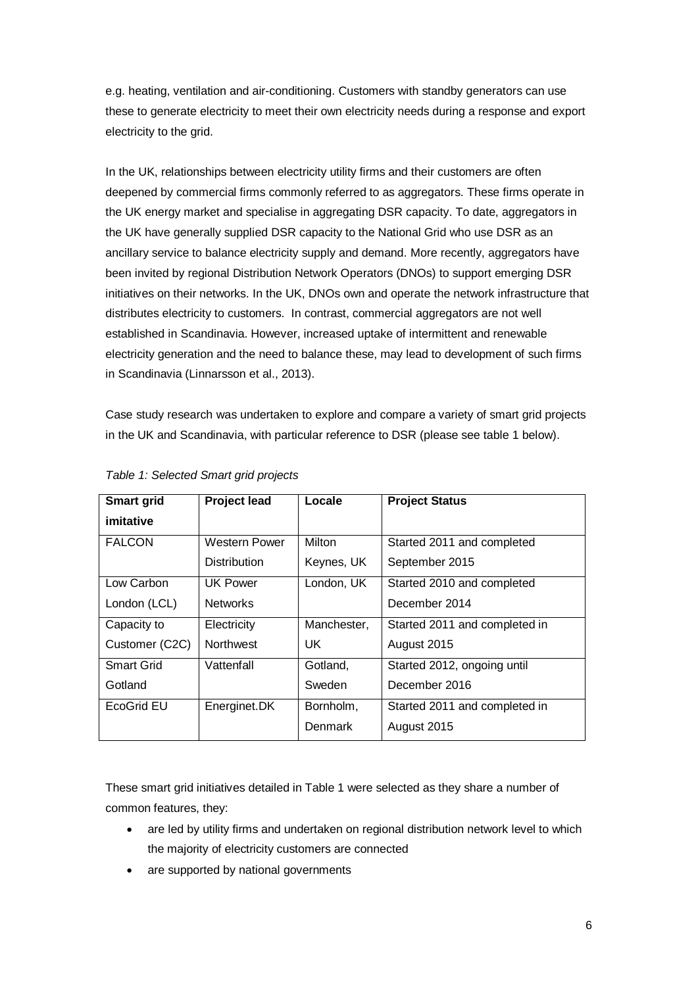e.g. heating, ventilation and air-conditioning. Customers with standby generators can use these to generate electricity to meet their own electricity needs during a response and export electricity to the grid.

In the UK, relationships between electricity utility firms and their customers are often deepened by commercial firms commonly referred to as aggregators. These firms operate in the UK energy market and specialise in aggregating DSR capacity. To date, aggregators in the UK have generally supplied DSR capacity to the National Grid who use DSR as an ancillary service to balance electricity supply and demand. More recently, aggregators have been invited by regional Distribution Network Operators (DNOs) to support emerging DSR initiatives on their networks. In the UK, DNOs own and operate the network infrastructure that distributes electricity to customers. In contrast, commercial aggregators are not well established in Scandinavia. However, increased uptake of intermittent and renewable electricity generation and the need to balance these, may lead to development of such firms in Scandinavia (Linnarsson et al., 2013).

Case study research was undertaken to explore and compare a variety of smart grid projects in the UK and Scandinavia, with particular reference to DSR (please see table 1 below).

| <b>Smart grid</b> | <b>Project lead</b> | Locale      | <b>Project Status</b>         |
|-------------------|---------------------|-------------|-------------------------------|
| imitative         |                     |             |                               |
| <b>FALCON</b>     | Western Power       | Milton      | Started 2011 and completed    |
|                   | <b>Distribution</b> | Keynes, UK  | September 2015                |
| Low Carbon        | UK Power            | London, UK  | Started 2010 and completed    |
| London (LCL)      | <b>Networks</b>     |             | December 2014                 |
| Capacity to       | Electricity         | Manchester, | Started 2011 and completed in |
| Customer (C2C)    | <b>Northwest</b>    | UK.         | August 2015                   |
| <b>Smart Grid</b> | Vattenfall          | Gotland.    | Started 2012, ongoing until   |
| Gotland           |                     | Sweden      | December 2016                 |
| EcoGrid EU        | Energinet.DK        | Bornholm,   | Started 2011 and completed in |
|                   |                     | Denmark     | August 2015                   |

*Table 1: Selected Smart grid projects*

These smart grid initiatives detailed in Table 1 were selected as they share a number of common features, they:

- are led by utility firms and undertaken on regional distribution network level to which the majority of electricity customers are connected
- are supported by national governments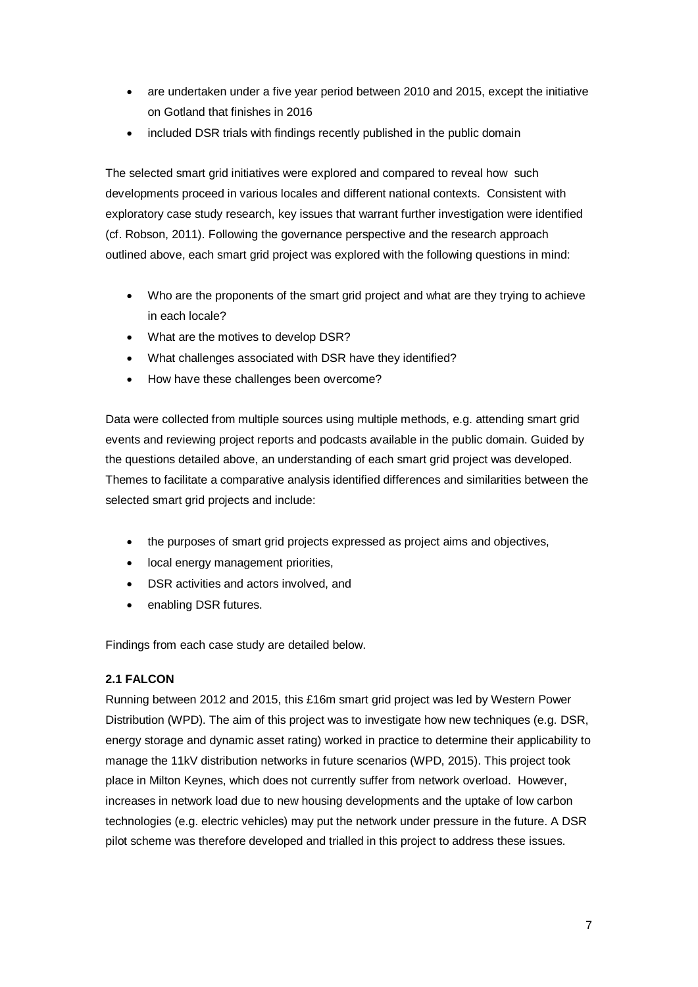- are undertaken under a five year period between 2010 and 2015, except the initiative on Gotland that finishes in 2016
- included DSR trials with findings recently published in the public domain

The selected smart grid initiatives were explored and compared to reveal how such developments proceed in various locales and different national contexts. Consistent with exploratory case study research, key issues that warrant further investigation were identified (cf. Robson, 2011). Following the governance perspective and the research approach outlined above, each smart grid project was explored with the following questions in mind:

- Who are the proponents of the smart grid project and what are they trying to achieve in each locale?
- What are the motives to develop DSR?
- What challenges associated with DSR have they identified?
- How have these challenges been overcome?

Data were collected from multiple sources using multiple methods, e.g. attending smart grid events and reviewing project reports and podcasts available in the public domain. Guided by the questions detailed above, an understanding of each smart grid project was developed. Themes to facilitate a comparative analysis identified differences and similarities between the selected smart grid projects and include:

- the purposes of smart grid projects expressed as project aims and objectives,
- local energy management priorities,
- DSR activities and actors involved, and
- enabling DSR futures.

Findings from each case study are detailed below.

# **2.1 FALCON**

Running between 2012 and 2015, this £16m smart grid project was led by Western Power Distribution (WPD). The aim of this project was to investigate how new techniques (e.g. DSR, energy storage and dynamic asset rating) worked in practice to determine their applicability to manage the 11kV distribution networks in future scenarios (WPD, 2015). This project took place in Milton Keynes, which does not currently suffer from network overload. However, increases in network load due to new housing developments and the uptake of low carbon technologies (e.g. electric vehicles) may put the network under pressure in the future. A DSR pilot scheme was therefore developed and trialled in this project to address these issues.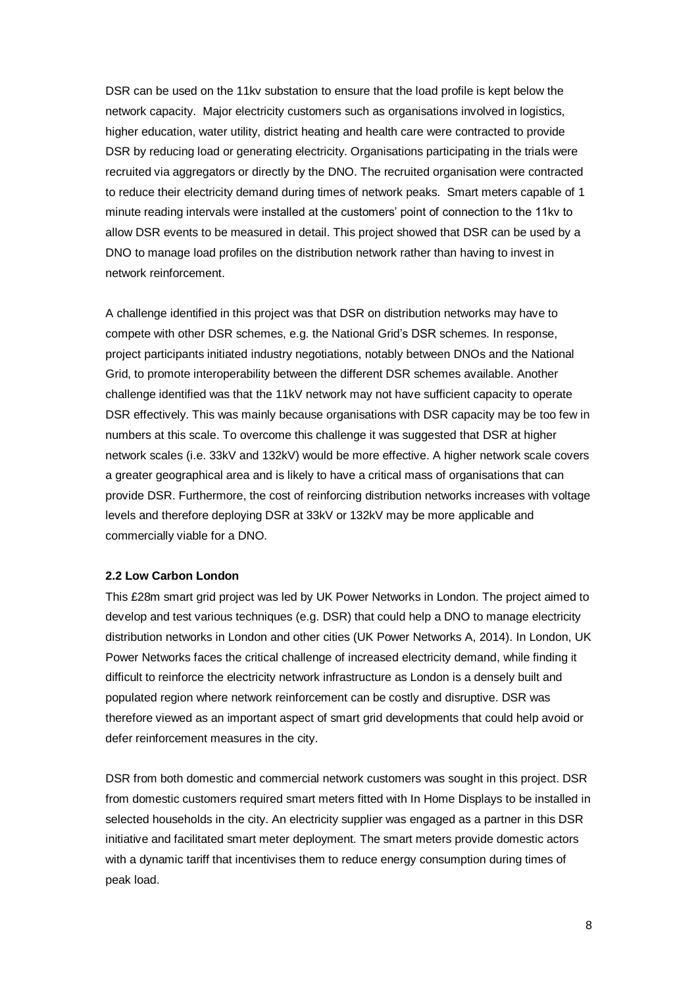DSR can be used on the 11kv substation to ensure that the load profile is kept below the network capacity. Major electricity customers such as organisations involved in logistics, higher education, water utility, district heating and health care were contracted to provide DSR by reducing load or generating electricity. Organisations participating in the trials were recruited via aggregators or directly by the DNO. The recruited organisation were contracted to reduce their electricity demand during times of network peaks. Smart meters capable of 1 minute reading intervals were installed at the customers' point of connection to the 11kv to allow DSR events to be measured in detail. This project showed that DSR can be used by a DNO to manage load profiles on the distribution network rather than having to invest in network reinforcement.

A challenge identified in this project was that DSR on distribution networks may have to compete with other DSR schemes, e.g. the National Grid's DSR schemes. In response, project participants initiated industry negotiations, notably between DNOs and the National Grid, to promote interoperability between the different DSR schemes available. Another challenge identified was that the 11kV network may not have sufficient capacity to operate DSR effectively. This was mainly because organisations with DSR capacity may be too few in numbers at this scale. To overcome this challenge it was suggested that DSR at higher network scales (i.e. 33kV and 132kV) would be more effective. A higher network scale covers a greater geographical area and is likely to have a critical mass of organisations that can provide DSR. Furthermore, the cost of reinforcing distribution networks increases with voltage levels and therefore deploying DSR at 33kV or 132kV may be more applicable and commercially viable for a DNO.

#### **2.2 Low Carbon London**

This £28m smart grid project was led by UK Power Networks in London. The project aimed to develop and test various techniques (e.g. DSR) that could help a DNO to manage electricity distribution networks in London and other cities (UK Power Networks A, 2014). In London, UK Power Networks faces the critical challenge of increased electricity demand, while finding it difficult to reinforce the electricity network infrastructure as London is a densely built and populated region where network reinforcement can be costly and disruptive. DSR was therefore viewed as an important aspect of smart grid developments that could help avoid or defer reinforcement measures in the city.

DSR from both domestic and commercial network customers was sought in this project. DSR from domestic customers required smart meters fitted with In Home Displays to be installed in selected households in the city. An electricity supplier was engaged as a partner in this DSR initiative and facilitated smart meter deployment. The smart meters provide domestic actors with a dynamic tariff that incentivises them to reduce energy consumption during times of peak load.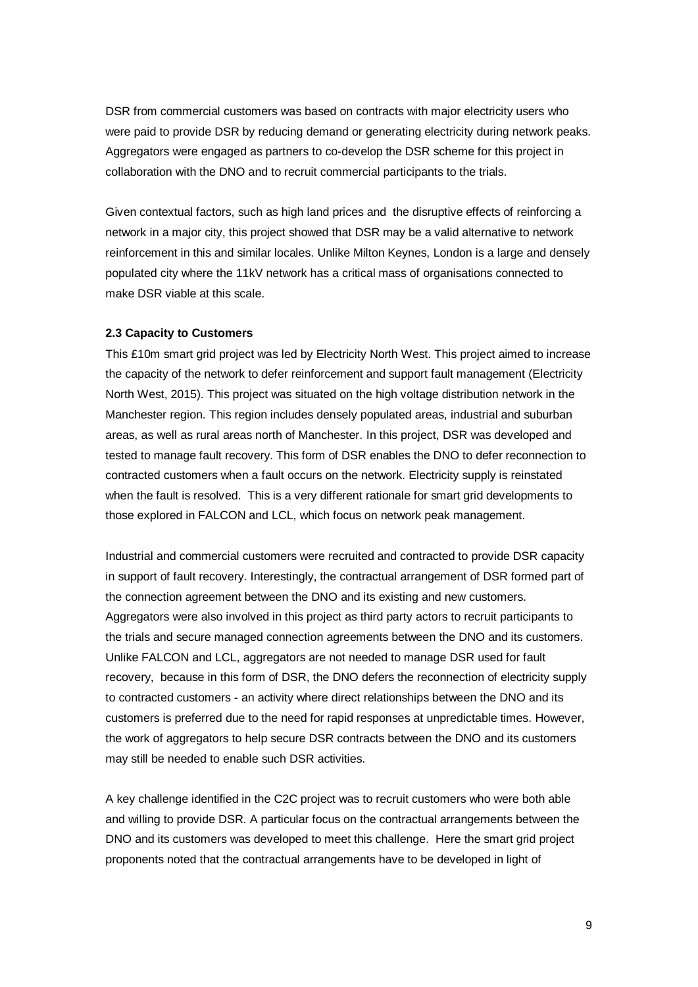DSR from commercial customers was based on contracts with major electricity users who were paid to provide DSR by reducing demand or generating electricity during network peaks. Aggregators were engaged as partners to co-develop the DSR scheme for this project in collaboration with the DNO and to recruit commercial participants to the trials.

Given contextual factors, such as high land prices and the disruptive effects of reinforcing a network in a major city, this project showed that DSR may be a valid alternative to network reinforcement in this and similar locales. Unlike Milton Keynes, London is a large and densely populated city where the 11kV network has a critical mass of organisations connected to make DSR viable at this scale.

#### **2.3 Capacity to Customers**

This £10m smart grid project was led by Electricity North West. This project aimed to increase the capacity of the network to defer reinforcement and support fault management (Electricity North West, 2015). This project was situated on the high voltage distribution network in the Manchester region. This region includes densely populated areas, industrial and suburban areas, as well as rural areas north of Manchester. In this project, DSR was developed and tested to manage fault recovery. This form of DSR enables the DNO to defer reconnection to contracted customers when a fault occurs on the network. Electricity supply is reinstated when the fault is resolved. This is a very different rationale for smart grid developments to those explored in FALCON and LCL, which focus on network peak management.

Industrial and commercial customers were recruited and contracted to provide DSR capacity in support of fault recovery. Interestingly, the contractual arrangement of DSR formed part of the connection agreement between the DNO and its existing and new customers. Aggregators were also involved in this project as third party actors to recruit participants to the trials and secure managed connection agreements between the DNO and its customers. Unlike FALCON and LCL, aggregators are not needed to manage DSR used for fault recovery, because in this form of DSR, the DNO defers the reconnection of electricity supply to contracted customers - an activity where direct relationships between the DNO and its customers is preferred due to the need for rapid responses at unpredictable times. However, the work of aggregators to help secure DSR contracts between the DNO and its customers may still be needed to enable such DSR activities.

A key challenge identified in the C2C project was to recruit customers who were both able and willing to provide DSR. A particular focus on the contractual arrangements between the DNO and its customers was developed to meet this challenge. Here the smart grid project proponents noted that the contractual arrangements have to be developed in light of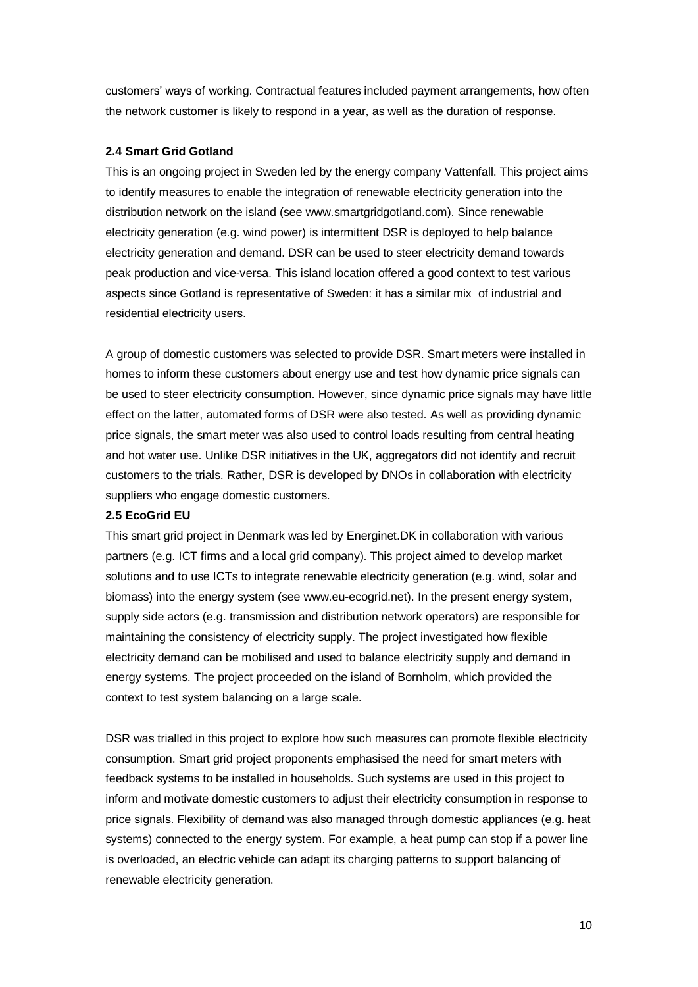customers' ways of working. Contractual features included payment arrangements, how often the network customer is likely to respond in a year, as well as the duration of response.

#### **2.4 Smart Grid Gotland**

This is an ongoing project in Sweden led by the energy company Vattenfall. This project aims to identify measures to enable the integration of renewable electricity generation into the distribution network on the island (see www.smartgridgotland.com). Since renewable electricity generation (e.g. wind power) is intermittent DSR is deployed to help balance electricity generation and demand. DSR can be used to steer electricity demand towards peak production and vice-versa. This island location offered a good context to test various aspects since Gotland is representative of Sweden: it has a similar mix of industrial and residential electricity users.

A group of domestic customers was selected to provide DSR. Smart meters were installed in homes to inform these customers about energy use and test how dynamic price signals can be used to steer electricity consumption. However, since dynamic price signals may have little effect on the latter, automated forms of DSR were also tested. As well as providing dynamic price signals, the smart meter was also used to control loads resulting from central heating and hot water use. Unlike DSR initiatives in the UK, aggregators did not identify and recruit customers to the trials. Rather, DSR is developed by DNOs in collaboration with electricity suppliers who engage domestic customers.

#### **2.5 EcoGrid EU**

This smart grid project in Denmark was led by Energinet.DK in collaboration with various partners (e.g. ICT firms and a local grid company). This project aimed to develop market solutions and to use ICTs to integrate renewable electricity generation (e.g. wind, solar and biomass) into the energy system (see www.eu-ecogrid.net). In the present energy system, supply side actors (e.g. transmission and distribution network operators) are responsible for maintaining the consistency of electricity supply. The project investigated how flexible electricity demand can be mobilised and used to balance electricity supply and demand in energy systems. The project proceeded on the island of Bornholm, which provided the context to test system balancing on a large scale.

DSR was trialled in this project to explore how such measures can promote flexible electricity consumption. Smart grid project proponents emphasised the need for smart meters with feedback systems to be installed in households. Such systems are used in this project to inform and motivate domestic customers to adjust their electricity consumption in response to price signals. Flexibility of demand was also managed through domestic appliances (e.g. heat systems) connected to the energy system. For example, a heat pump can stop if a power line is overloaded, an electric vehicle can adapt its charging patterns to support balancing of renewable electricity generation.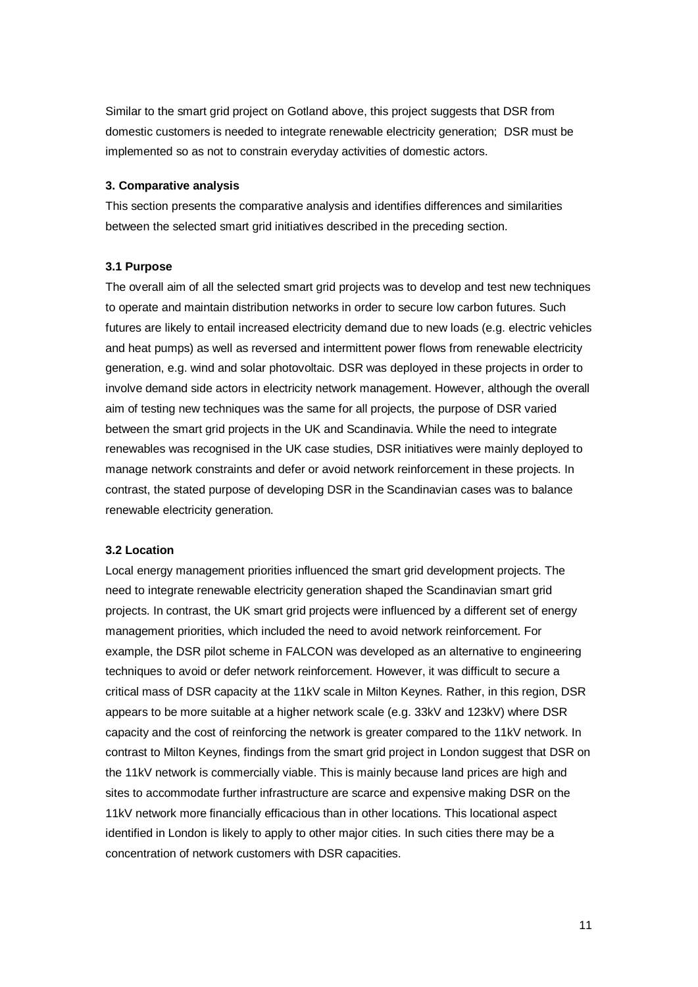Similar to the smart grid project on Gotland above, this project suggests that DSR from domestic customers is needed to integrate renewable electricity generation; DSR must be implemented so as not to constrain everyday activities of domestic actors.

#### **3. Comparative analysis**

This section presents the comparative analysis and identifies differences and similarities between the selected smart grid initiatives described in the preceding section.

#### **3.1 Purpose**

The overall aim of all the selected smart grid projects was to develop and test new techniques to operate and maintain distribution networks in order to secure low carbon futures. Such futures are likely to entail increased electricity demand due to new loads (e.g. electric vehicles and heat pumps) as well as reversed and intermittent power flows from renewable electricity generation, e.g. wind and solar photovoltaic. DSR was deployed in these projects in order to involve demand side actors in electricity network management. However, although the overall aim of testing new techniques was the same for all projects, the purpose of DSR varied between the smart grid projects in the UK and Scandinavia. While the need to integrate renewables was recognised in the UK case studies, DSR initiatives were mainly deployed to manage network constraints and defer or avoid network reinforcement in these projects. In contrast, the stated purpose of developing DSR in the Scandinavian cases was to balance renewable electricity generation.

#### **3.2 Location**

Local energy management priorities influenced the smart grid development projects. The need to integrate renewable electricity generation shaped the Scandinavian smart grid projects. In contrast, the UK smart grid projects were influenced by a different set of energy management priorities, which included the need to avoid network reinforcement. For example, the DSR pilot scheme in FALCON was developed as an alternative to engineering techniques to avoid or defer network reinforcement. However, it was difficult to secure a critical mass of DSR capacity at the 11kV scale in Milton Keynes. Rather, in this region, DSR appears to be more suitable at a higher network scale (e.g. 33kV and 123kV) where DSR capacity and the cost of reinforcing the network is greater compared to the 11kV network. In contrast to Milton Keynes, findings from the smart grid project in London suggest that DSR on the 11kV network is commercially viable. This is mainly because land prices are high and sites to accommodate further infrastructure are scarce and expensive making DSR on the 11kV network more financially efficacious than in other locations. This locational aspect identified in London is likely to apply to other major cities. In such cities there may be a concentration of network customers with DSR capacities.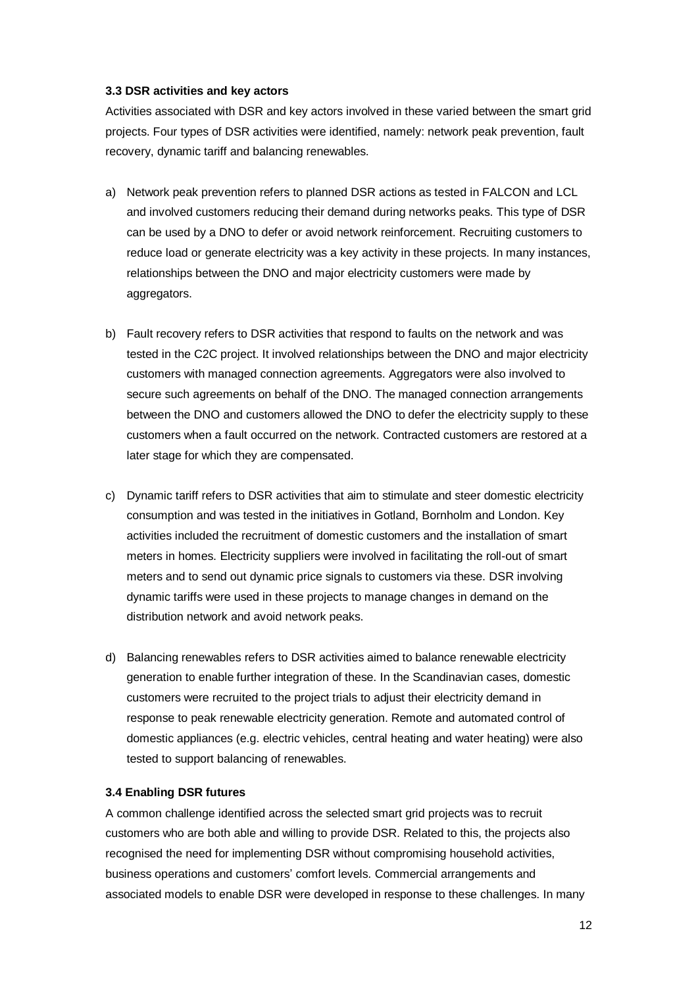# **3.3 DSR activities and key actors**

Activities associated with DSR and key actors involved in these varied between the smart grid projects. Four types of DSR activities were identified, namely: network peak prevention, fault recovery, dynamic tariff and balancing renewables.

- a) Network peak prevention refers to planned DSR actions as tested in FALCON and LCL and involved customers reducing their demand during networks peaks. This type of DSR can be used by a DNO to defer or avoid network reinforcement. Recruiting customers to reduce load or generate electricity was a key activity in these projects. In many instances, relationships between the DNO and major electricity customers were made by aggregators.
- b) Fault recovery refers to DSR activities that respond to faults on the network and was tested in the C2C project. It involved relationships between the DNO and major electricity customers with managed connection agreements. Aggregators were also involved to secure such agreements on behalf of the DNO. The managed connection arrangements between the DNO and customers allowed the DNO to defer the electricity supply to these customers when a fault occurred on the network. Contracted customers are restored at a later stage for which they are compensated.
- c) Dynamic tariff refers to DSR activities that aim to stimulate and steer domestic electricity consumption and was tested in the initiatives in Gotland, Bornholm and London. Key activities included the recruitment of domestic customers and the installation of smart meters in homes. Electricity suppliers were involved in facilitating the roll-out of smart meters and to send out dynamic price signals to customers via these. DSR involving dynamic tariffs were used in these projects to manage changes in demand on the distribution network and avoid network peaks.
- d) Balancing renewables refers to DSR activities aimed to balance renewable electricity generation to enable further integration of these. In the Scandinavian cases, domestic customers were recruited to the project trials to adjust their electricity demand in response to peak renewable electricity generation. Remote and automated control of domestic appliances (e.g. electric vehicles, central heating and water heating) were also tested to support balancing of renewables.

# **3.4 Enabling DSR futures**

A common challenge identified across the selected smart grid projects was to recruit customers who are both able and willing to provide DSR. Related to this, the projects also recognised the need for implementing DSR without compromising household activities, business operations and customers' comfort levels. Commercial arrangements and associated models to enable DSR were developed in response to these challenges. In many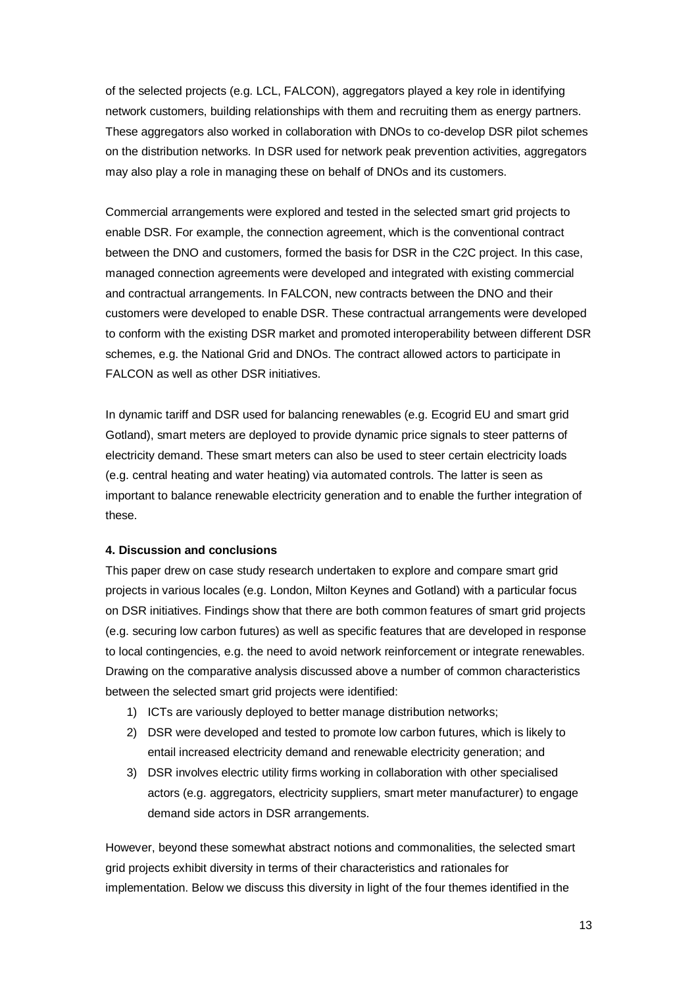of the selected projects (e.g. LCL, FALCON), aggregators played a key role in identifying network customers, building relationships with them and recruiting them as energy partners. These aggregators also worked in collaboration with DNOs to co-develop DSR pilot schemes on the distribution networks. In DSR used for network peak prevention activities, aggregators may also play a role in managing these on behalf of DNOs and its customers.

Commercial arrangements were explored and tested in the selected smart grid projects to enable DSR. For example, the connection agreement, which is the conventional contract between the DNO and customers, formed the basis for DSR in the C2C project. In this case, managed connection agreements were developed and integrated with existing commercial and contractual arrangements. In FALCON, new contracts between the DNO and their customers were developed to enable DSR. These contractual arrangements were developed to conform with the existing DSR market and promoted interoperability between different DSR schemes, e.g. the National Grid and DNOs. The contract allowed actors to participate in FALCON as well as other DSR initiatives.

In dynamic tariff and DSR used for balancing renewables (e.g. Ecogrid EU and smart grid Gotland), smart meters are deployed to provide dynamic price signals to steer patterns of electricity demand. These smart meters can also be used to steer certain electricity loads (e.g. central heating and water heating) via automated controls. The latter is seen as important to balance renewable electricity generation and to enable the further integration of these.

#### **4. Discussion and conclusions**

This paper drew on case study research undertaken to explore and compare smart grid projects in various locales (e.g. London, Milton Keynes and Gotland) with a particular focus on DSR initiatives. Findings show that there are both common features of smart grid projects (e.g. securing low carbon futures) as well as specific features that are developed in response to local contingencies, e.g. the need to avoid network reinforcement or integrate renewables. Drawing on the comparative analysis discussed above a number of common characteristics between the selected smart grid projects were identified:

- 1) ICTs are variously deployed to better manage distribution networks;
- 2) DSR were developed and tested to promote low carbon futures, which is likely to entail increased electricity demand and renewable electricity generation; and
- 3) DSR involves electric utility firms working in collaboration with other specialised actors (e.g. aggregators, electricity suppliers, smart meter manufacturer) to engage demand side actors in DSR arrangements.

However, beyond these somewhat abstract notions and commonalities, the selected smart grid projects exhibit diversity in terms of their characteristics and rationales for implementation. Below we discuss this diversity in light of the four themes identified in the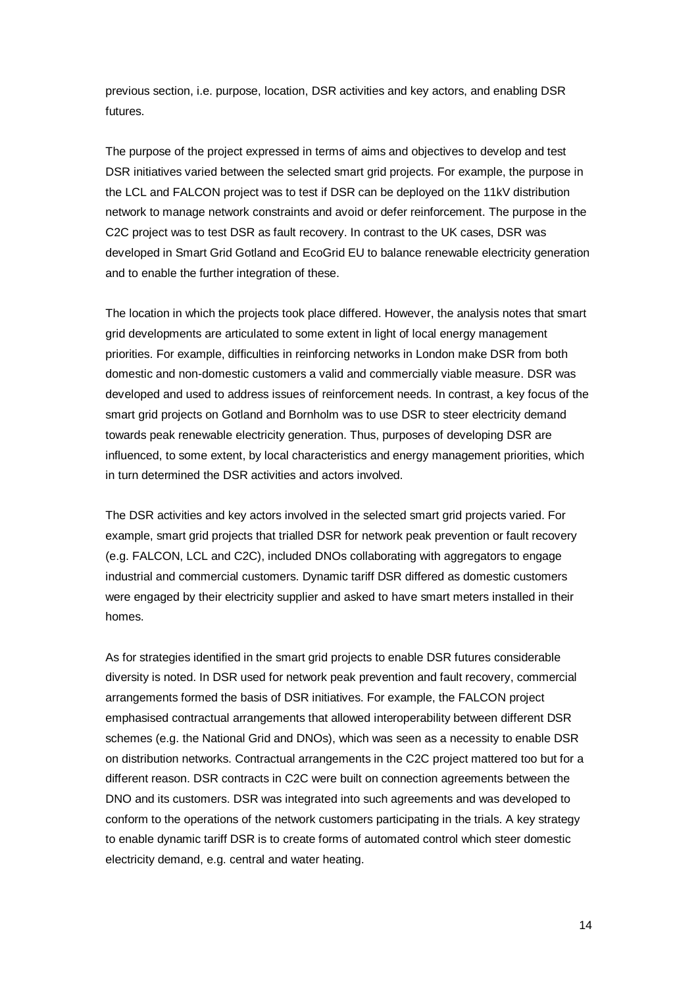previous section, i.e. purpose, location, DSR activities and key actors, and enabling DSR futures.

The purpose of the project expressed in terms of aims and objectives to develop and test DSR initiatives varied between the selected smart grid projects. For example, the purpose in the LCL and FALCON project was to test if DSR can be deployed on the 11kV distribution network to manage network constraints and avoid or defer reinforcement. The purpose in the C2C project was to test DSR as fault recovery. In contrast to the UK cases, DSR was developed in Smart Grid Gotland and EcoGrid EU to balance renewable electricity generation and to enable the further integration of these.

The location in which the projects took place differed. However, the analysis notes that smart grid developments are articulated to some extent in light of local energy management priorities. For example, difficulties in reinforcing networks in London make DSR from both domestic and non-domestic customers a valid and commercially viable measure. DSR was developed and used to address issues of reinforcement needs. In contrast, a key focus of the smart grid projects on Gotland and Bornholm was to use DSR to steer electricity demand towards peak renewable electricity generation. Thus, purposes of developing DSR are influenced, to some extent, by local characteristics and energy management priorities, which in turn determined the DSR activities and actors involved.

The DSR activities and key actors involved in the selected smart grid projects varied. For example, smart grid projects that trialled DSR for network peak prevention or fault recovery (e.g. FALCON, LCL and C2C), included DNOs collaborating with aggregators to engage industrial and commercial customers. Dynamic tariff DSR differed as domestic customers were engaged by their electricity supplier and asked to have smart meters installed in their homes.

As for strategies identified in the smart grid projects to enable DSR futures considerable diversity is noted. In DSR used for network peak prevention and fault recovery, commercial arrangements formed the basis of DSR initiatives. For example, the FALCON project emphasised contractual arrangements that allowed interoperability between different DSR schemes (e.g. the National Grid and DNOs), which was seen as a necessity to enable DSR on distribution networks. Contractual arrangements in the C2C project mattered too but for a different reason. DSR contracts in C2C were built on connection agreements between the DNO and its customers. DSR was integrated into such agreements and was developed to conform to the operations of the network customers participating in the trials. A key strategy to enable dynamic tariff DSR is to create forms of automated control which steer domestic electricity demand, e.g. central and water heating.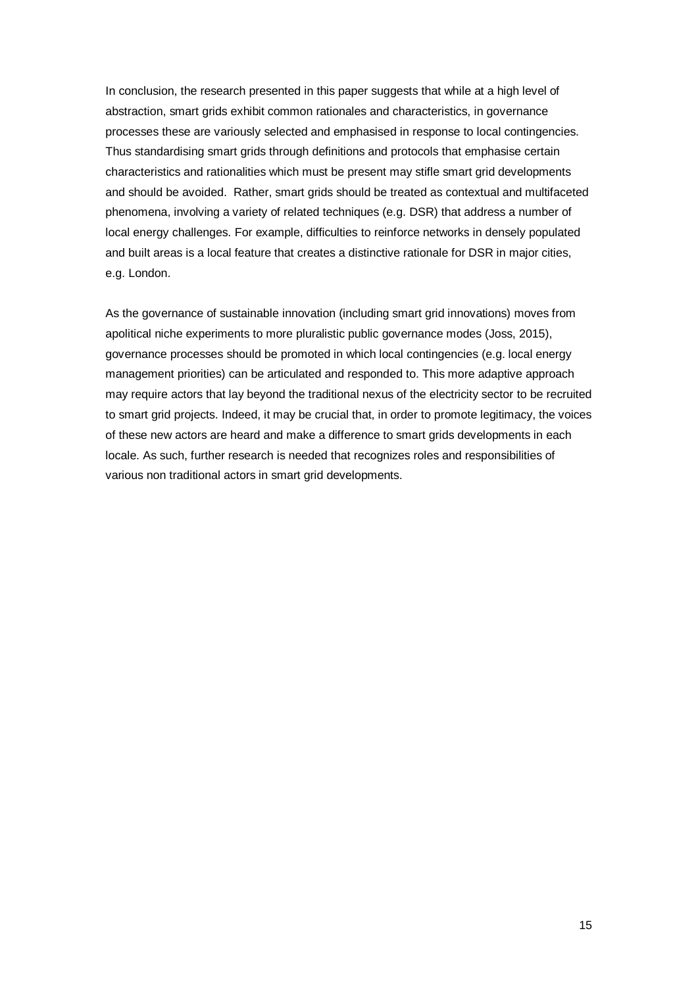In conclusion, the research presented in this paper suggests that while at a high level of abstraction, smart grids exhibit common rationales and characteristics, in governance processes these are variously selected and emphasised in response to local contingencies. Thus standardising smart grids through definitions and protocols that emphasise certain characteristics and rationalities which must be present may stifle smart grid developments and should be avoided. Rather, smart grids should be treated as contextual and multifaceted phenomena, involving a variety of related techniques (e.g. DSR) that address a number of local energy challenges. For example, difficulties to reinforce networks in densely populated and built areas is a local feature that creates a distinctive rationale for DSR in major cities, e.g. London.

As the governance of sustainable innovation (including smart grid innovations) moves from apolitical niche experiments to more pluralistic public governance modes (Joss, 2015), governance processes should be promoted in which local contingencies (e.g. local energy management priorities) can be articulated and responded to. This more adaptive approach may require actors that lay beyond the traditional nexus of the electricity sector to be recruited to smart grid projects. Indeed, it may be crucial that, in order to promote legitimacy, the voices of these new actors are heard and make a difference to smart grids developments in each locale. As such, further research is needed that recognizes roles and responsibilities of various non traditional actors in smart grid developments.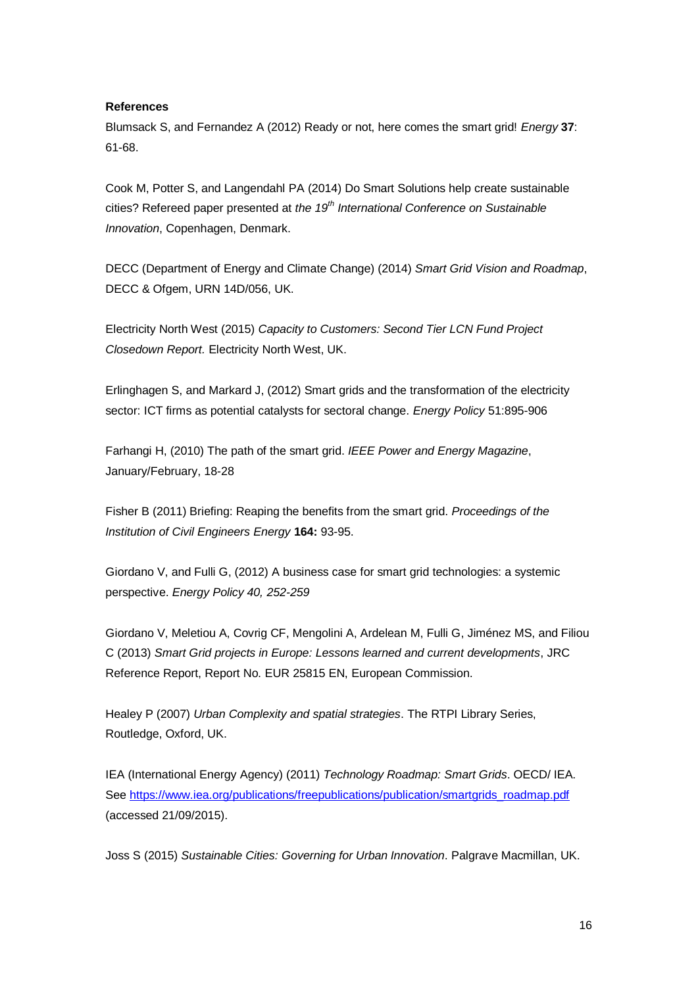#### **References**

Blumsack S, and Fernandez A (2012) Ready or not, here comes the smart grid! *Energy* **37**: 61-68.

Cook M, Potter S, and Langendahl PA (2014) Do Smart Solutions help create sustainable cities? Refereed paper presented at *the 19th International Conference on Sustainable Innovation*, Copenhagen, Denmark.

DECC (Department of Energy and Climate Change) (2014) *Smart Grid Vision and Roadmap*, DECC & Ofgem, URN 14D/056, UK.

Electricity North West (2015) *Capacity to Customers: Second Tier LCN Fund Project Closedown Report.* Electricity North West, UK.

Erlinghagen S, and Markard J, (2012) Smart grids and the transformation of the electricity sector: ICT firms as potential catalysts for sectoral change. *Energy Policy* 51:895-906

Farhangi H, (2010) The path of the smart grid. *IEEE Power and Energy Magazine*, January/February, 18-28

Fisher B (2011) Briefing: Reaping the benefits from the smart grid. *Proceedings of the Institution of Civil Engineers Energy* **164:** 93-95.

Giordano V, and Fulli G, (2012) A business case for smart grid technologies: a systemic perspective. *Energy Policy 40, 252-259*

Giordano V, Meletiou A, Covrig CF, Mengolini A, Ardelean M, Fulli G, Jiménez MS, and Filiou C (2013) *Smart Grid projects in Europe: Lessons learned and current developments*, JRC Reference Report, Report No. EUR 25815 EN, European Commission.

Healey P (2007) *Urban Complexity and spatial strategies*. The RTPI Library Series, Routledge, Oxford, UK.

IEA (International Energy Agency) (2011) *Technology Roadmap: Smart Grids*. OECD/ IEA. See [https://www.iea.org/publications/freepublications/publication/smartgrids\\_roadmap.pdf](https://www.iea.org/publications/freepublications/publication/smartgrids_roadmap.pdf) (accessed 21/09/2015).

Joss S (2015) *Sustainable Cities: Governing for Urban Innovation*. Palgrave Macmillan, UK.